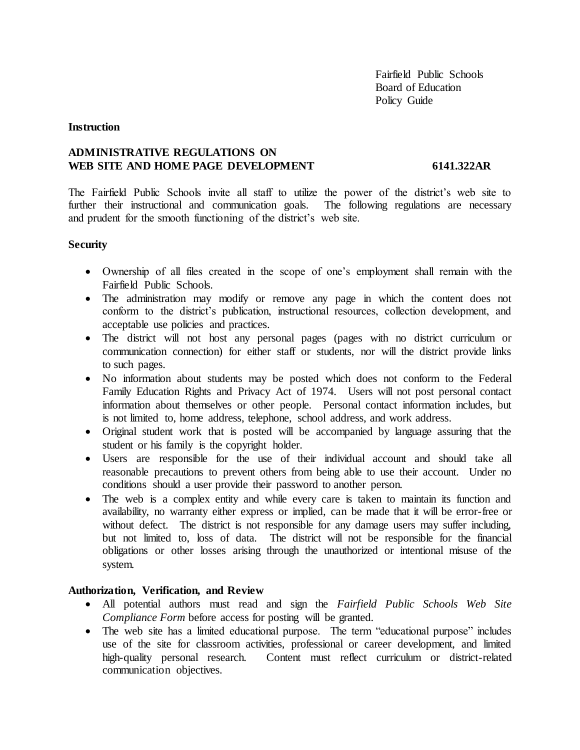## **Instruction**

# **ADMINISTRATIVE REGULATIONS ON** WEB SITE AND HOME PAGE DEVELOPMENT 6141.322AR

The Fairfield Public Schools invite all staff to utilize the power of the district's web site to further their instructional and communication goals. The following regulations are necessary and prudent for the smooth functioning of the district's web site.

## **Security**

- Ownership of all files created in the scope of one's employment shall remain with the Fairfield Public Schools.
- The administration may modify or remove any page in which the content does not conform to the district's publication, instructional resources, collection development, and acceptable use policies and practices.
- The district will not host any personal pages (pages with no district curriculum or communication connection) for either staff or students, nor will the district provide links to such pages.
- No information about students may be posted which does not conform to the Federal Family Education Rights and Privacy Act of 1974. Users will not post personal contact information about themselves or other people. Personal contact information includes, but is not limited to, home address, telephone, school address, and work address.
- Original student work that is posted will be accompanied by language assuring that the student or his family is the copyright holder.
- Users are responsible for the use of their individual account and should take all reasonable precautions to prevent others from being able to use their account. Under no conditions should a user provide their password to another person.
- The web is a complex entity and while every care is taken to maintain its function and availability, no warranty either express or implied, can be made that it will be error-free or without defect. The district is not responsible for any damage users may suffer including, but not limited to, loss of data. The district will not be responsible for the financial obligations or other losses arising through the unauthorized or intentional misuse of the system.

# **Authorization, Verification, and Review**

- All potential authors must read and sign the *Fairfield Public Schools Web Site Compliance Form* before access for posting will be granted.
- The web site has a limited educational purpose. The term "educational purpose" includes use of the site for classroom activities, professional or career development, and limited high-quality personal research. Content must reflect curriculum or district-related communication objectives.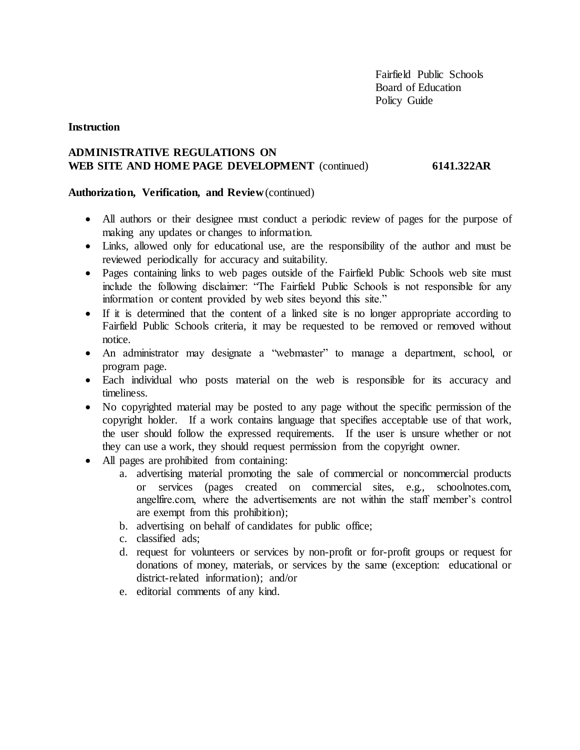# **Instruction**

# **ADMINISTRATIVE REGULATIONS ON WEB SITE AND HOME PAGE DEVELOPMENT** (continued) **6141.322AR**

#### **Authorization, Verification, and Review** (continued)

- All authors or their designee must conduct a periodic review of pages for the purpose of making any updates or changes to information.
- Links, allowed only for educational use, are the responsibility of the author and must be reviewed periodically for accuracy and suitability.
- Pages containing links to web pages outside of the Fairfield Public Schools web site must include the following disclaimer: "The Fairfield Public Schools is not responsible for any information or content provided by web sites beyond this site."
- If it is determined that the content of a linked site is no longer appropriate according to Fairfield Public Schools criteria, it may be requested to be removed or removed without notice.
- An administrator may designate a "webmaster" to manage a department, school, or program page.
- Each individual who posts material on the web is responsible for its accuracy and timeliness.
- No copyrighted material may be posted to any page without the specific permission of the copyright holder. If a work contains language that specifies acceptable use of that work, the user should follow the expressed requirements. If the user is unsure whether or not they can use a work, they should request permission from the copyright owner.
- All pages are prohibited from containing:
	- a. advertising material promoting the sale of commercial or noncommercial products or services (pages created on commercial sites, e.g., schoolnotes.com, angelfire.com, where the advertisements are not within the staff member's control are exempt from this prohibition);
	- b. advertising on behalf of candidates for public office;
	- c. classified ads;
	- d. request for volunteers or services by non-profit or for-profit groups or request for donations of money, materials, or services by the same (exception: educational or district-related information); and/or
	- e. editorial comments of any kind.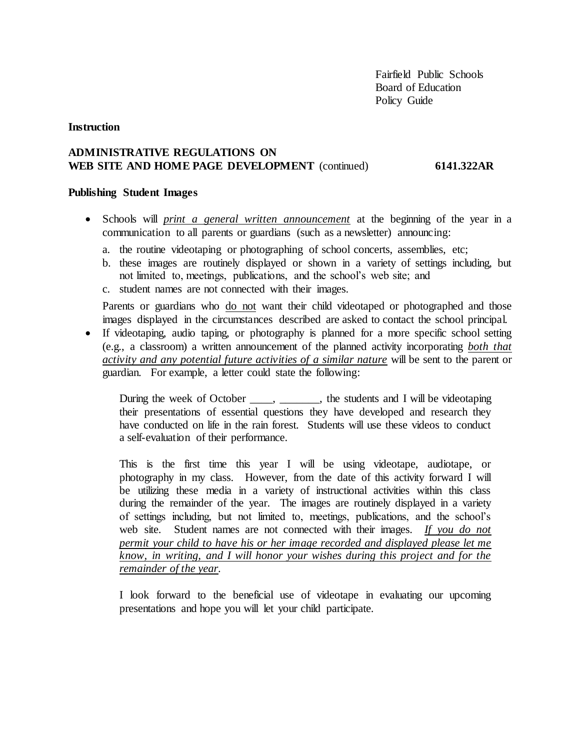## **Instruction**

# **ADMINISTRATIVE REGULATIONS ON WEB SITE AND HOME PAGE DEVELOPMENT** (continued) **6141.322AR**

#### **Publishing Student Images**

- Schools will *print a general written announcement* at the beginning of the year in a communication to all parents or guardians (such as a newsletter) announcing:
	- a. the routine videotaping or photographing of school concerts, assemblies, etc;
	- b. these images are routinely displayed or shown in a variety of settings including, but not limited to, meetings, publications, and the school's web site; and
	- c. student names are not connected with their images.

Parents or guardians who do not want their child videotaped or photographed and those images displayed in the circumstances described are asked to contact the school principal.

 If videotaping, audio taping, or photography is planned for a more specific school setting (e.g., a classroom) a written announcement of the planned activity incorporating *both that activity and any potential future activities of a similar nature* will be sent to the parent or guardian. For example, a letter could state the following:

During the week of October \_\_\_\_, \_\_\_\_\_\_\_, the students and I will be videotaping their presentations of essential questions they have developed and research they have conducted on life in the rain forest. Students will use these videos to conduct a self-evaluation of their performance.

This is the first time this year I will be using videotape, audiotape, or photography in my class. However, from the date of this activity forward I will be utilizing these media in a variety of instructional activities within this class during the remainder of the year. The images are routinely displayed in a variety of settings including, but not limited to, meetings, publications, and the school's web site. Student names are not connected with their images. *If you do not permit your child to have his or her image recorded and displayed please let me know, in writing, and I will honor your wishes during this project and for the remainder of the year.*

I look forward to the beneficial use of videotape in evaluating our upcoming presentations and hope you will let your child participate.